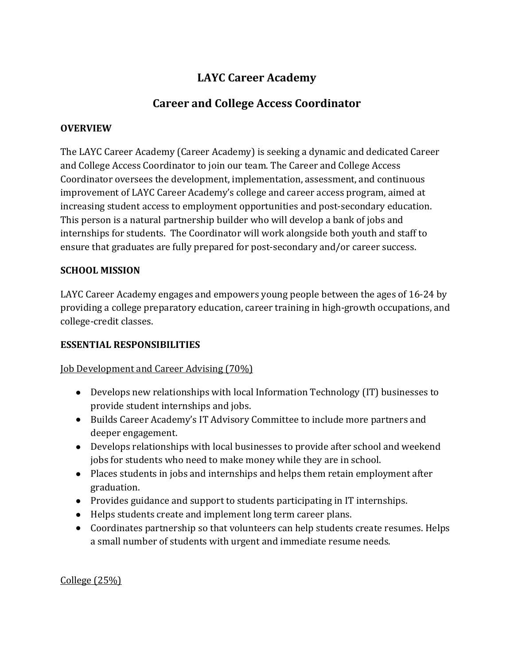# **LAYC Career Academy**

## **Career and College Access Coordinator**

#### **OVERVIEW**

The LAYC Career Academy (Career Academy) is seeking a dynamic and dedicated Career and College Access Coordinator to join our team. The Career and College Access Coordinator oversees the development, implementation, assessment, and continuous improvement of LAYC Career Academy's college and career access program, aimed at increasing student access to employment opportunities and post-secondary education. This person is a natural partnership builder who will develop a bank of jobs and internships for students. The Coordinator will work alongside both youth and staff to ensure that graduates are fully prepared for post-secondary and/or career success.

#### **SCHOOL MISSION**

LAYC Career Academy engages and empowers young people between the ages of 16-24 by providing a college preparatory education, career training in high-growth occupations, and college-credit classes.

#### **ESSENTIAL RESPONSIBILITIES**

### Job Development and Career Advising (70%)

- Develops new relationships with local Information Technology (IT) businesses to provide student internships and jobs.
- Builds Career Academy's IT Advisory Committee to include more partners and deeper engagement.
- Develops relationships with local businesses to provide after school and weekend jobs for students who need to make money while they are in school.
- Places students in jobs and internships and helps them retain employment after graduation.
- Provides guidance and support to students participating in IT internships.
- Helps students create and implement long term career plans.
- Coordinates partnership so that volunteers can help students create resumes. Helps a small number of students with urgent and immediate resume needs.

College (25%)